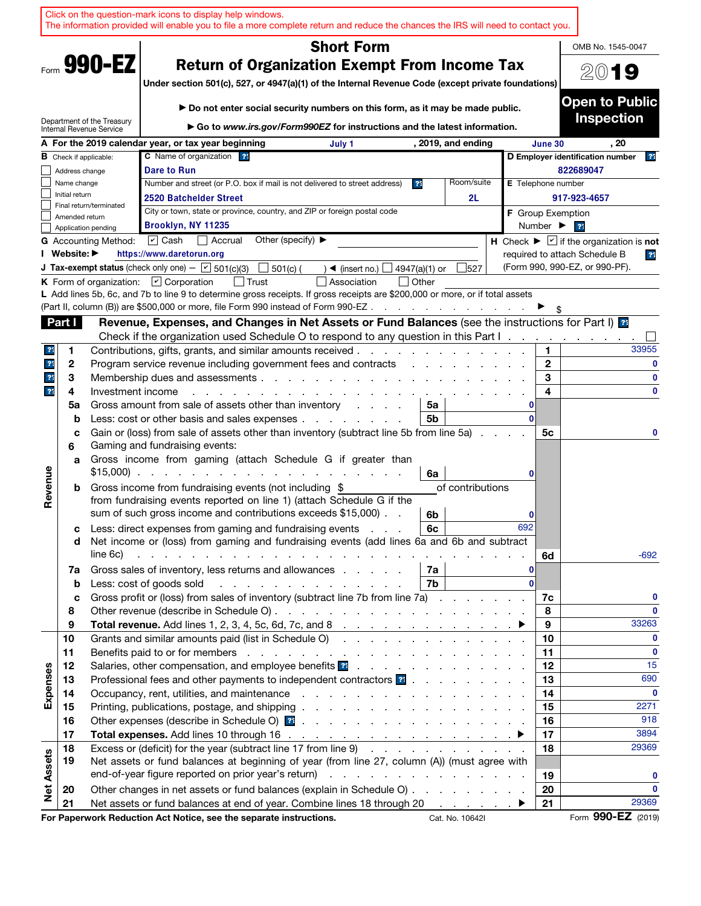|                         |                |                                                        | Click on the question-mark icons to display help windows.<br>The information provided will enable you to file a more complete return and reduce the chances the IRS will need to contact you.                                                                                                                                                                                                |          |                              |                                                                  |
|-------------------------|----------------|--------------------------------------------------------|----------------------------------------------------------------------------------------------------------------------------------------------------------------------------------------------------------------------------------------------------------------------------------------------------------------------------------------------------------------------------------------------|----------|------------------------------|------------------------------------------------------------------|
|                         |                |                                                        | <b>Short Form</b>                                                                                                                                                                                                                                                                                                                                                                            |          |                              | OMB No. 1545-0047                                                |
|                         |                | Form 990-EZ                                            | <b>Return of Organization Exempt From Income Tax</b><br>Under section 501(c), 527, or 4947(a)(1) of the Internal Revenue Code (except private foundations)                                                                                                                                                                                                                                   |          |                              | 2019                                                             |
|                         |                | Department of the Treasury<br>Internal Revenue Service | Do not enter social security numbers on this form, as it may be made public.<br>Go to www.irs.gov/Form990EZ for instructions and the latest information.                                                                                                                                                                                                                                     |          |                              | <b>Open to Public</b><br><b>Inspection</b>                       |
|                         |                |                                                        | A For the 2019 calendar year, or tax year beginning<br>, 2019, and ending<br>July 1                                                                                                                                                                                                                                                                                                          |          | June 30                      | . 20                                                             |
|                         |                | <b>B</b> Check if applicable:                          | C Name of organization ??                                                                                                                                                                                                                                                                                                                                                                    |          |                              | D Employer identification number<br>$^{\circ}$                   |
|                         | Address change |                                                        | <b>Dare to Run</b>                                                                                                                                                                                                                                                                                                                                                                           |          |                              | 822689047                                                        |
|                         | Name change    |                                                        | Room/suite<br>Number and street (or P.O. box if mail is not delivered to street address)<br>3 <sup>4</sup>                                                                                                                                                                                                                                                                                   |          | <b>E</b> Telephone number    |                                                                  |
|                         | Initial return |                                                        | 2520 Batchelder Street<br>2L                                                                                                                                                                                                                                                                                                                                                                 |          |                              | 917-923-4657                                                     |
|                         | Amended return | Final return/terminated                                | City or town, state or province, country, and ZIP or foreign postal code                                                                                                                                                                                                                                                                                                                     |          | <b>F</b> Group Exemption     |                                                                  |
|                         |                | Application pending                                    | Brooklyn, NY 11235                                                                                                                                                                                                                                                                                                                                                                           |          | Number $\blacktriangleright$ | 21                                                               |
|                         |                | <b>G</b> Accounting Method:                            | $\sqrt{2}$ Cash<br>Accrual<br>Other (specify) $\blacktriangleright$                                                                                                                                                                                                                                                                                                                          |          |                              | H Check $\blacktriangleright \square$ if the organization is not |
|                         | Website: ▶     |                                                        | https://www.daretorun.org                                                                                                                                                                                                                                                                                                                                                                    |          |                              | required to attach Schedule B<br>$\overline{?}$                  |
|                         |                |                                                        | <b>J Tax-exempt status</b> (check only one) $ \boxed{\phantom{0}}$ 501(c)(3)<br>527<br>$501(c)$ (<br>4947(a)(1) or<br>$\sim$ (insert no.)                                                                                                                                                                                                                                                    |          |                              | (Form 990, 990-EZ, or 990-PF).                                   |
|                         |                |                                                        | K Form of organization: $\Box$ Corporation<br>  Trust<br>Association<br>$\vert$ Other                                                                                                                                                                                                                                                                                                        |          |                              |                                                                  |
|                         |                |                                                        | L Add lines 5b, 6c, and 7b to line 9 to determine gross receipts. If gross receipts are \$200,000 or more, or if total assets<br>(Part II, column (B)) are \$500,000 or more, file Form 990 instead of Form 990-EZ                                                                                                                                                                           |          |                              |                                                                  |
|                         | Part I         |                                                        | Revenue, Expenses, and Changes in Net Assets or Fund Balances (see the instructions for Part I) as                                                                                                                                                                                                                                                                                           |          |                              |                                                                  |
|                         |                |                                                        | Check if the organization used Schedule O to respond to any question in this Part I.                                                                                                                                                                                                                                                                                                         |          |                              |                                                                  |
| 21                      | 1              |                                                        | Contributions, gifts, grants, and similar amounts received.                                                                                                                                                                                                                                                                                                                                  |          | 1.                           | 33955                                                            |
| $\overline{\mathbf{r}}$ | 2              |                                                        | Program service revenue including government fees and contracts                                                                                                                                                                                                                                                                                                                              |          | $\mathbf{2}$                 | 0                                                                |
| $\overline{?}$          | 3              |                                                        | Membership dues and assessments                                                                                                                                                                                                                                                                                                                                                              |          | 3                            | $\mathbf{0}$                                                     |
| 21                      | 4              | Investment income                                      |                                                                                                                                                                                                                                                                                                                                                                                              |          | 4                            | $\mathbf{0}$                                                     |
|                         | 5a             |                                                        | Gross amount from sale of assets other than inventory<br>5a<br>and a state of                                                                                                                                                                                                                                                                                                                | 0        |                              |                                                                  |
|                         | b              |                                                        | 5b<br>Less: cost or other basis and sales expenses                                                                                                                                                                                                                                                                                                                                           |          |                              |                                                                  |
|                         | C<br>6         |                                                        | Gain or (loss) from sale of assets other than inventory (subtract line 5b from line 5a)<br>Gaming and fundraising events:                                                                                                                                                                                                                                                                    |          | 5с                           | 0                                                                |
|                         | a              |                                                        | Gross income from gaming (attach Schedule G if greater than<br>$$15,000$<br>6a                                                                                                                                                                                                                                                                                                               | 0        |                              |                                                                  |
| Revenue                 | b              |                                                        | Gross income from fundraising events (not including \$<br>of contributions<br>from fundraising events reported on line 1) (attach Schedule G if the<br>sum of such gross income and contributions exceeds \$15,000).<br>6b                                                                                                                                                                   | 0        |                              |                                                                  |
|                         | с<br>d         | line 6c)                                               | Less: direct expenses from gaming and fundraising events<br>6с<br>Net income or (loss) from gaming and fundraising events (add lines 6a and 6b and subtract<br>a construction of the construction of the construction of the construction of the construction of the construction of the construction of the construction of the construction of the construction of the construction of the | 692      | 6d                           | -692                                                             |
|                         | 7a             |                                                        | Gross sales of inventory, less returns and allowances<br>7а                                                                                                                                                                                                                                                                                                                                  |          |                              |                                                                  |
|                         | b              |                                                        | 7b<br>Less: cost of goods sold                                                                                                                                                                                                                                                                                                                                                               | $\Omega$ |                              |                                                                  |
|                         | C              |                                                        | Gross profit or (loss) from sales of inventory (subtract line 7b from line 7a)                                                                                                                                                                                                                                                                                                               |          | 7c                           | 0                                                                |
|                         | 8              |                                                        |                                                                                                                                                                                                                                                                                                                                                                                              |          | 8                            | $\mathbf{0}$                                                     |
|                         | 9              |                                                        | Total revenue. Add lines 1, 2, 3, 4, 5c, 6d, 7c, and 8 $\ldots$ $\ldots$ $\ldots$ $\ldots$ $\ldots$ $\ldots$                                                                                                                                                                                                                                                                                 |          | 9                            | 33263                                                            |
|                         | 10             |                                                        | Grants and similar amounts paid (list in Schedule O)                                                                                                                                                                                                                                                                                                                                         |          | 10                           | 0                                                                |
|                         | 11             |                                                        |                                                                                                                                                                                                                                                                                                                                                                                              |          | 11                           | $\mathbf{0}$                                                     |
| Expenses                | 12             |                                                        | Salaries, other compensation, and employee benefits <b>2</b>                                                                                                                                                                                                                                                                                                                                 |          | 12                           | 15<br>690                                                        |
|                         | 13             |                                                        | Professional fees and other payments to independent contractors <b>?:</b><br>Occupancy, rent, utilities, and maintenance response to the contract of the contract of the contract of the contract of the contract of the contract of the contract of the contract of the contract of the contract of the co                                                                                  |          | 13<br>14                     | 0                                                                |
|                         | 14<br>15       |                                                        |                                                                                                                                                                                                                                                                                                                                                                                              |          | 15                           | 2271                                                             |
|                         | 16             |                                                        |                                                                                                                                                                                                                                                                                                                                                                                              |          | 16                           | 918                                                              |
|                         | 17             |                                                        |                                                                                                                                                                                                                                                                                                                                                                                              |          | 17                           | 3894                                                             |
|                         | 18             |                                                        | Excess or (deficit) for the year (subtract line 17 from line 9)                                                                                                                                                                                                                                                                                                                              |          | 18                           | 29369                                                            |
|                         | 19             |                                                        | Net assets or fund balances at beginning of year (from line 27, column (A)) (must agree with                                                                                                                                                                                                                                                                                                 |          |                              |                                                                  |
|                         |                |                                                        | end-of-year figure reported on prior year's return)<br>the contract of the contract of the contract of the                                                                                                                                                                                                                                                                                   |          | 19                           | 0                                                                |
| <b>Net Assets</b>       | 20             |                                                        | Other changes in net assets or fund balances (explain in Schedule O)                                                                                                                                                                                                                                                                                                                         |          | 20                           | $\Omega$                                                         |
|                         | 21             |                                                        | Net assets or fund balances at end of year. Combine lines 18 through 20 ▶                                                                                                                                                                                                                                                                                                                    |          | 21                           | 29369                                                            |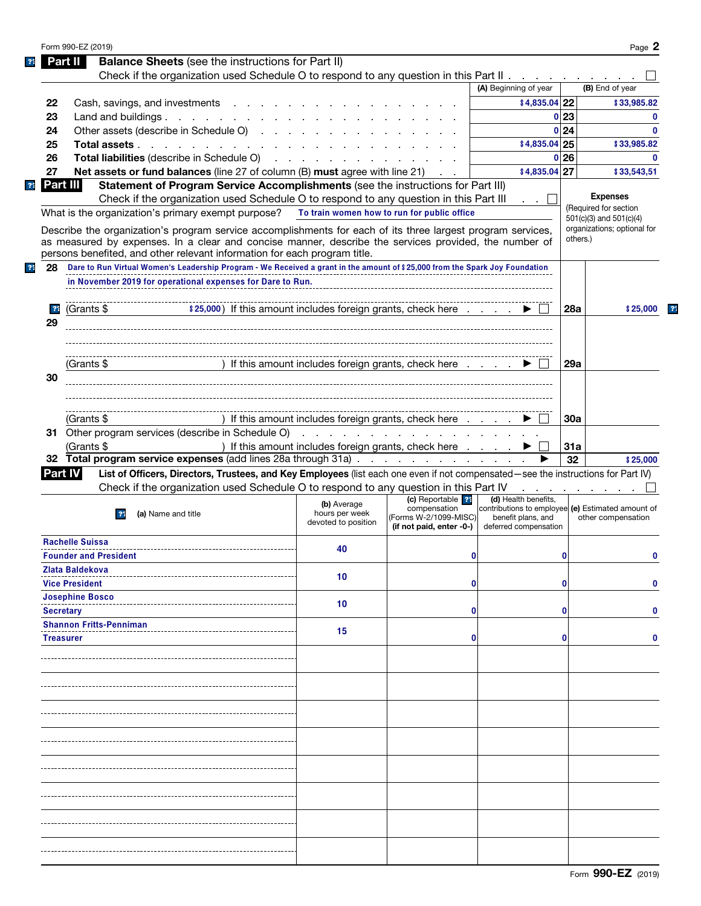|    | Form 990-EZ (2019)                                                                                                                                                                 |                                             |                                                                                                                                                                                                                                   |                                                                           |            | Page 2                      |
|----|------------------------------------------------------------------------------------------------------------------------------------------------------------------------------------|---------------------------------------------|-----------------------------------------------------------------------------------------------------------------------------------------------------------------------------------------------------------------------------------|---------------------------------------------------------------------------|------------|-----------------------------|
|    | <b>Balance Sheets</b> (see the instructions for Part II)<br>Part III                                                                                                               |                                             |                                                                                                                                                                                                                                   |                                                                           |            |                             |
|    | Check if the organization used Schedule O to respond to any question in this Part II                                                                                               |                                             |                                                                                                                                                                                                                                   |                                                                           |            |                             |
|    |                                                                                                                                                                                    |                                             |                                                                                                                                                                                                                                   | (A) Beginning of year                                                     |            | (B) End of year             |
| 22 | Cash, savings, and investments                                                                                                                                                     |                                             |                                                                                                                                                                                                                                   | \$4,835.04 22                                                             |            | \$33,985.82                 |
| 23 | Land and buildings. $\ldots$ $\ldots$ $\ldots$ $\ldots$                                                                                                                            |                                             |                                                                                                                                                                                                                                   | 0                                                                         | 23         | 0                           |
| 24 | Other assets (describe in Schedule O)                                                                                                                                              |                                             |                                                                                                                                                                                                                                   | 0                                                                         | 24         | $\bf{0}$                    |
| 25 | Total assets                                                                                                                                                                       |                                             |                                                                                                                                                                                                                                   | \$4,835.04 25                                                             |            | \$33,985.82                 |
| 26 | Total liabilities (describe in Schedule O)                                                                                                                                         |                                             |                                                                                                                                                                                                                                   | $\mathbf{0}$                                                              | 26         | 0                           |
| 27 | Net assets or fund balances (line 27 of column (B) must agree with line 21)                                                                                                        |                                             |                                                                                                                                                                                                                                   | \$4,835.04 27                                                             |            | \$33,543,51                 |
|    | Part III<br>Statement of Program Service Accomplishments (see the instructions for Part III)                                                                                       |                                             |                                                                                                                                                                                                                                   |                                                                           |            |                             |
|    | Check if the organization used Schedule O to respond to any question in this Part III                                                                                              |                                             |                                                                                                                                                                                                                                   |                                                                           |            | <b>Expenses</b>             |
|    | What is the organization's primary exempt purpose?                                                                                                                                 | To train women how to run for public office |                                                                                                                                                                                                                                   |                                                                           |            | (Required for section       |
|    |                                                                                                                                                                                    |                                             |                                                                                                                                                                                                                                   |                                                                           |            | 501(c)(3) and 501(c)(4)     |
|    | Describe the organization's program service accomplishments for each of its three largest program services,                                                                        |                                             |                                                                                                                                                                                                                                   |                                                                           | others.)   | organizations; optional for |
|    | as measured by expenses. In a clear and concise manner, describe the services provided, the number of<br>persons benefited, and other relevant information for each program title. |                                             |                                                                                                                                                                                                                                   |                                                                           |            |                             |
|    |                                                                                                                                                                                    |                                             |                                                                                                                                                                                                                                   |                                                                           |            |                             |
| 28 | Dare to Run Virtual Women's Leadership Program - We Received a grant in the amount of \$25,000 from the Spark Joy Foundation                                                       |                                             |                                                                                                                                                                                                                                   |                                                                           |            |                             |
|    | in November 2019 for operational expenses for Dare to Run.                                                                                                                         |                                             |                                                                                                                                                                                                                                   |                                                                           |            |                             |
|    |                                                                                                                                                                                    |                                             |                                                                                                                                                                                                                                   |                                                                           |            |                             |
| 31 | \$25,000) If this amount includes foreign grants, check here<br>(Grants \$                                                                                                         |                                             |                                                                                                                                                                                                                                   |                                                                           | <b>28a</b> | \$25,000                    |
| 29 |                                                                                                                                                                                    |                                             |                                                                                                                                                                                                                                   |                                                                           |            |                             |
|    |                                                                                                                                                                                    |                                             |                                                                                                                                                                                                                                   |                                                                           |            |                             |
|    |                                                                                                                                                                                    |                                             |                                                                                                                                                                                                                                   |                                                                           |            |                             |
|    | (Grants \$                                                                                                                                                                         |                                             | If this amount includes foreign grants, check here                                                                                                                                                                                |                                                                           | 29a        |                             |
| 30 |                                                                                                                                                                                    |                                             |                                                                                                                                                                                                                                   |                                                                           |            |                             |
|    |                                                                                                                                                                                    |                                             |                                                                                                                                                                                                                                   |                                                                           |            |                             |
|    |                                                                                                                                                                                    |                                             |                                                                                                                                                                                                                                   |                                                                           |            |                             |
|    | (Grants \$                                                                                                                                                                         |                                             | If this amount includes foreign grants, check here                                                                                                                                                                                |                                                                           | 30a        |                             |
|    |                                                                                                                                                                                    |                                             |                                                                                                                                                                                                                                   |                                                                           |            |                             |
|    |                                                                                                                                                                                    |                                             |                                                                                                                                                                                                                                   |                                                                           |            |                             |
|    | 31 Other program services (describe in Schedule O)                                                                                                                                 |                                             | $\frac{1}{2}$ . The state of the state of the state of the state of the state of the state of the state of the state of the state of the state of the state of the state of the state of the state of the state of the state of t |                                                                           |            |                             |
|    | (Grants \$                                                                                                                                                                         |                                             | ) If this amount includes foreign grants, check here                                                                                                                                                                              |                                                                           | 31a        |                             |
|    | 32 Total program service expenses (add lines 28a through 31a)                                                                                                                      |                                             |                                                                                                                                                                                                                                   |                                                                           | 32         | \$25,000                    |
|    | List of Officers, Directors, Trustees, and Key Employees (list each one even if not compensated—see the instructions for Part IV)<br><b>Part IV</b>                                |                                             |                                                                                                                                                                                                                                   |                                                                           |            |                             |
|    | Check if the organization used Schedule O to respond to any question in this Part IV                                                                                               |                                             |                                                                                                                                                                                                                                   |                                                                           |            |                             |
|    |                                                                                                                                                                                    | (b) Average                                 | (c) Reportable <sup>22</sup><br>compensation                                                                                                                                                                                      | (d) Health benefits,<br>contributions to employee (e) Estimated amount of |            |                             |
|    | (a) Name and title<br>21                                                                                                                                                           | hours per week<br>devoted to position       | (Forms W-2/1099-MISC)                                                                                                                                                                                                             | benefit plans, and                                                        |            | other compensation          |
|    |                                                                                                                                                                                    |                                             | (if not paid, enter -0-)                                                                                                                                                                                                          | deferred compensation                                                     |            |                             |
|    | <b>Rachelle Suissa</b>                                                                                                                                                             | 40                                          |                                                                                                                                                                                                                                   |                                                                           |            |                             |
|    | <b>Founder and President</b>                                                                                                                                                       |                                             | 0                                                                                                                                                                                                                                 |                                                                           | 0          | 0                           |
|    | Zlata Baldekova                                                                                                                                                                    | 10                                          |                                                                                                                                                                                                                                   |                                                                           |            |                             |
|    | <b>Vice President</b>                                                                                                                                                              |                                             | 0                                                                                                                                                                                                                                 |                                                                           | 0          | 0                           |
|    | <b>Josephine Bosco</b>                                                                                                                                                             |                                             |                                                                                                                                                                                                                                   |                                                                           |            |                             |
|    | <b>Secretary</b>                                                                                                                                                                   | 10                                          | 0                                                                                                                                                                                                                                 |                                                                           | 0          |                             |
|    | <b>Shannon Fritts-Penniman</b>                                                                                                                                                     |                                             |                                                                                                                                                                                                                                   |                                                                           |            |                             |
|    | <b>Treasurer</b>                                                                                                                                                                   | 15                                          | 0                                                                                                                                                                                                                                 |                                                                           | 0          | 0                           |
|    |                                                                                                                                                                                    |                                             |                                                                                                                                                                                                                                   |                                                                           |            |                             |
|    |                                                                                                                                                                                    |                                             |                                                                                                                                                                                                                                   |                                                                           |            |                             |
|    |                                                                                                                                                                                    |                                             |                                                                                                                                                                                                                                   |                                                                           |            |                             |
|    |                                                                                                                                                                                    |                                             |                                                                                                                                                                                                                                   |                                                                           |            |                             |
|    |                                                                                                                                                                                    |                                             |                                                                                                                                                                                                                                   |                                                                           |            |                             |
|    |                                                                                                                                                                                    |                                             |                                                                                                                                                                                                                                   |                                                                           |            |                             |
|    |                                                                                                                                                                                    |                                             |                                                                                                                                                                                                                                   |                                                                           |            |                             |
|    |                                                                                                                                                                                    |                                             |                                                                                                                                                                                                                                   |                                                                           |            |                             |
|    |                                                                                                                                                                                    |                                             |                                                                                                                                                                                                                                   |                                                                           |            |                             |
|    |                                                                                                                                                                                    |                                             |                                                                                                                                                                                                                                   |                                                                           |            |                             |
|    |                                                                                                                                                                                    |                                             |                                                                                                                                                                                                                                   |                                                                           |            |                             |
|    |                                                                                                                                                                                    |                                             |                                                                                                                                                                                                                                   |                                                                           |            |                             |
|    |                                                                                                                                                                                    |                                             |                                                                                                                                                                                                                                   |                                                                           |            |                             |
|    |                                                                                                                                                                                    |                                             |                                                                                                                                                                                                                                   |                                                                           |            |                             |
|    |                                                                                                                                                                                    |                                             |                                                                                                                                                                                                                                   |                                                                           |            |                             |
|    |                                                                                                                                                                                    |                                             |                                                                                                                                                                                                                                   |                                                                           |            |                             |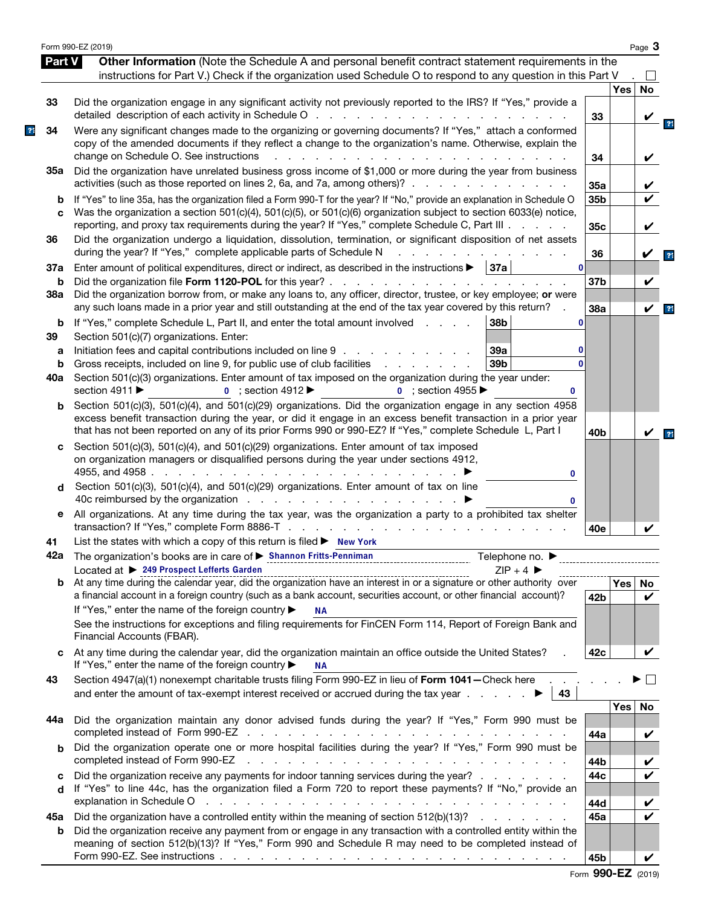|                |                          | Form 990-EZ (2019)                                                                                                                                                                                                                                                                                                                                                                                                       |                    |            | Page 3       |                |
|----------------|--------------------------|--------------------------------------------------------------------------------------------------------------------------------------------------------------------------------------------------------------------------------------------------------------------------------------------------------------------------------------------------------------------------------------------------------------------------|--------------------|------------|--------------|----------------|
|                | Part V                   | Other Information (Note the Schedule A and personal benefit contract statement requirements in the<br>instructions for Part V.) Check if the organization used Schedule O to respond to any question in this Part V                                                                                                                                                                                                      |                    |            |              |                |
|                | 33                       | Did the organization engage in any significant activity not previously reported to the IRS? If "Yes," provide a                                                                                                                                                                                                                                                                                                          |                    | <b>Yes</b> | <b>No</b>    |                |
| $\overline{3}$ | 34                       | Were any significant changes made to the organizing or governing documents? If "Yes," attach a conformed<br>copy of the amended documents if they reflect a change to the organization's name. Otherwise, explain the<br>change on Schedule O. See instructions<br>.                                                                                                                                                     | 33<br>34           |            | V            |                |
|                | 35a                      | Did the organization have unrelated business gross income of \$1,000 or more during the year from business<br>activities (such as those reported on lines 2, 6a, and 7a, among others)?                                                                                                                                                                                                                                  | 35a                |            |              |                |
|                | b<br>C                   | If "Yes" to line 35a, has the organization filed a Form 990-T for the year? If "No," provide an explanation in Schedule O<br>Was the organization a section 501(c)(4), 501(c)(5), or 501(c)(6) organization subject to section 6033(e) notice,<br>reporting, and proxy tax requirements during the year? If "Yes," complete Schedule C, Part III                                                                         | 35b<br>35c         |            | V            |                |
|                | 36                       | Did the organization undergo a liquidation, dissolution, termination, or significant disposition of net assets<br>during the year? If "Yes," complete applicable parts of Schedule N<br>and a straight and                                                                                                                                                                                                               | 36                 |            |              | 21             |
|                | 37a<br>b                 | Enter amount of political expenditures, direct or indirect, as described in the instructions $\blacktriangleright$   37a                                                                                                                                                                                                                                                                                                 | 0 <br>37b          |            | V            |                |
|                | 38a                      | Did the organization borrow from, or make any loans to, any officer, director, trustee, or key employee; or were<br>any such loans made in a prior year and still outstanding at the end of the tax year covered by this return?                                                                                                                                                                                         | 38a                |            | V            | $\overline{3}$ |
|                | b<br>39<br>а<br>b<br>40a | If "Yes," complete Schedule L, Part II, and enter the total amount involved<br>38b<br>Section 501(c)(7) organizations. Enter:<br>Initiation fees and capital contributions included on line 9<br>39a<br>39b<br>Gross receipts, included on line 9, for public use of club facilities<br>Section 501(c)(3) organizations. Enter amount of tax imposed on the organization during the year under:                          | 0<br>0<br>$\Omega$ |            |              |                |
|                | b                        | section 4911 ▶<br>$\bullet$ ; section 4912<br>$\bullet$ ; section 4955<br>0<br>Section 501(c)(3), 501(c)(4), and 501(c)(29) organizations. Did the organization engage in any section 4958<br>excess benefit transaction during the year, or did it engage in an excess benefit transaction in a prior year<br>that has not been reported on any of its prior Forms 990 or 990-EZ? If "Yes," complete Schedule L, Part I | 40b                |            |              | 2 <sup>1</sup> |
|                | c                        | Section 501(c)(3), 501(c)(4), and 501(c)(29) organizations. Enter amount of tax imposed<br>on organization managers or disqualified persons during the year under sections 4912,<br>4955, and 4958<br>0<br>Section 501(c)(3), 501(c)(4), and 501(c)(29) organizations. Enter amount of tax on line<br>0                                                                                                                  |                    |            |              |                |
|                | е                        | All organizations. At any time during the tax year, was the organization a party to a prohibited tax shelter                                                                                                                                                                                                                                                                                                             | 40e                |            |              |                |
|                | 41                       | List the states with which a copy of this return is filed > New York                                                                                                                                                                                                                                                                                                                                                     |                    |            |              |                |
|                |                          | Located at ▶ 249 Prospect Lefferts Garden<br>$7IP + 4$                                                                                                                                                                                                                                                                                                                                                                   |                    |            |              |                |
|                |                          | Located at $\triangleright$ $\frac{249}{240}$ rrospect Letterts variable.<br>b At any time during the calendar year, did the organization have an interest in or a signature or other authority over<br>a financial account in a foreign country (such as a bank account, securities account, or other financial account)?<br>If "Yes," enter the name of the foreign country ▶<br><b>NA</b>                             | 42b                | Yes        | No<br>V      |                |
|                |                          | See the instructions for exceptions and filing requirements for FinCEN Form 114, Report of Foreign Bank and<br>Financial Accounts (FBAR).                                                                                                                                                                                                                                                                                |                    |            |              |                |
|                | c                        | At any time during the calendar year, did the organization maintain an office outside the United States?<br>If "Yes," enter the name of the foreign country ▶<br><b>NA</b>                                                                                                                                                                                                                                               | 42c                |            | V            |                |
|                | 43                       | Section 4947(a)(1) nonexempt charitable trusts filing Form 990-EZ in lieu of Form 1041-Check here.<br>43                                                                                                                                                                                                                                                                                                                 |                    |            | $\mathbf{L}$ |                |
|                | 44а                      | Did the organization maintain any donor advised funds during the year? If "Yes," Form 990 must be                                                                                                                                                                                                                                                                                                                        | 44a                | <b>Yes</b> | No<br>V      |                |
|                | b                        | Did the organization operate one or more hospital facilities during the year? If "Yes," Form 990 must be<br>completed instead of Form 990-EZ<br>the contract of the contract of the contract of the contract of the contract of                                                                                                                                                                                          | 44b                |            |              |                |
|                | C<br>d                   | Did the organization receive any payments for indoor tanning services during the year?<br>If "Yes" to line 44c, has the organization filed a Form 720 to report these payments? If "No," provide an                                                                                                                                                                                                                      | 44c<br>44d         |            | V            |                |
|                | 45а<br>b                 | Did the organization have a controlled entity within the meaning of section 512(b)(13)?<br>Did the organization receive any payment from or engage in any transaction with a controlled entity within the<br>meaning of section 512(b)(13)? If "Yes," Form 990 and Schedule R may need to be completed instead of                                                                                                        | 45a                |            |              |                |
|                |                          |                                                                                                                                                                                                                                                                                                                                                                                                                          | 45b                |            | V            |                |

|  | Form 990-EZ (2019) |  |
|--|--------------------|--|
|--|--------------------|--|